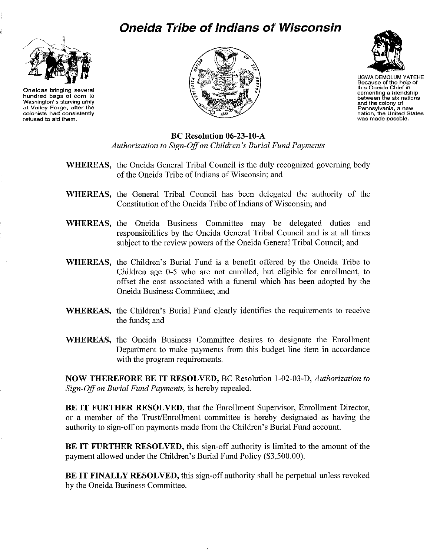## **Oneida Tribe of Indians of Wisconsin**



**Oneidas bringing several hundred bags of corn to Washington's starving army at Valley Forge, after the colonists had consistently refused to aid them.**





UGWA DEMOLUM YATEHE **Because of the help of this Oneida Chief in cementing a friendship between the six nations and the colony of Pennsylvania, <sup>a</sup> new nation, the United States was made** posable.

**Be Resolution 06-23-1O-A** *Authorization to Sign-Offon Children's Burial Fund Payments*

- **WHEREAS,** the Oneida General Tribal Council is the duly recognized governing body of the Oneida Tribe of Indians of Wisconsin; and
- **WHEREAS,** the General Tribal Council has been delegated the authority of the Constitution of the Oneida Tribe of Indians of Wisconsin; and
- **WHEREAS,** the Oneida Business Committee may be delegated duties and responsibilities by the Oneida General Tribal Council and is at all times subject to the review powers of the Oneida General Tribal Council; and
- **WHEREAS,** the Children's Burial Fund is a benefit offered by the Oneida Tribe to Children age 0-5 who are not enrolled, but eligible for enrollment, to offset the cost associated with a funeral which has been adopted by the Oneida Business Committee; and
- **WHEREAS,** the Children's Burial Fund clearly identifies the requirements to receive the funds; and
- **WHEREAS,** the Oneida Business Committee desires to designate the Enrollment Department to make payments from this budget line item in accordance with the program requirements.

**NOW THEREFORE BE IT RESOLVED,** BC Resolution 1-02-03-D, *Authorization to Sign-Offon Burial Fund Payments,* is hereby repealed.

**BE IT FURTHER RESOLVED,** that the Enrollment Supervisor, Enrollment Director, or a member of the Trust/Enrollment committee is hereby designated as having the authority to sign-off on payments made from the Children's Burial Fund account.

**BE IT FURTHER RESOLVED,** this sign-off authority is limited to the amount of the payment allowed under the Children's Burial Fund Policy (\$3,500.00).

**BE IT FINALLY RESOLVED,** this sign-off authority shall be perpetual unless revoked by the Oneida Business Conunittee.